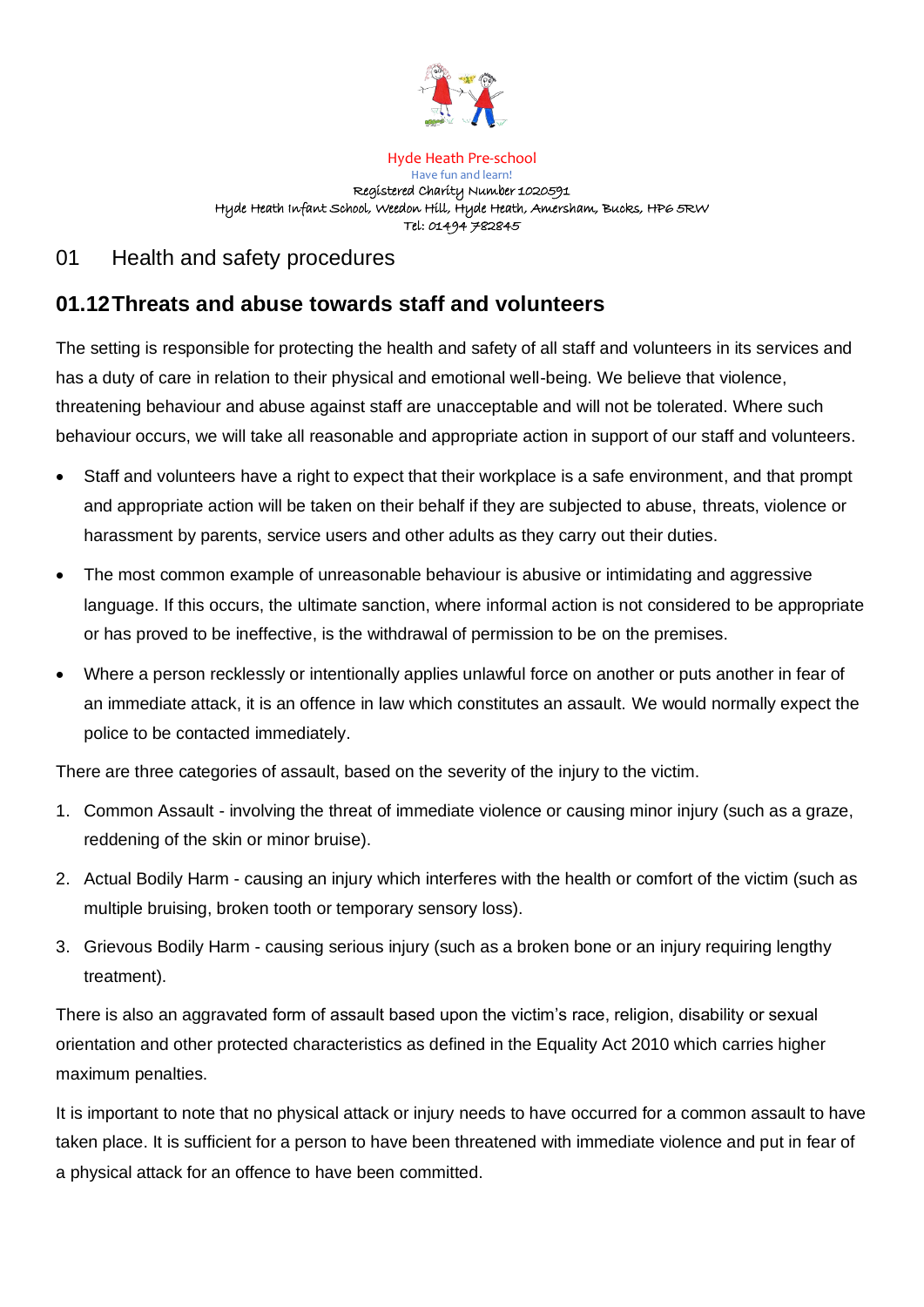

Hyde Heath Pre-school Have fun and learn! Registered Charity Number 1020591 Hyde Heath Infant School, Weedon Hill, Hyde Heath, Amersham, Bucks, HP6 5RW Tel: 01494 782845

## 01 Health and safety procedures

# **01.12Threats and abuse towards staff and volunteers**

The setting is responsible for protecting the health and safety of all staff and volunteers in its services and has a duty of care in relation to their physical and emotional well-being. We believe that violence, threatening behaviour and abuse against staff are unacceptable and will not be tolerated. Where such behaviour occurs, we will take all reasonable and appropriate action in support of our staff and volunteers.

- Staff and volunteers have a right to expect that their workplace is a safe environment, and that prompt and appropriate action will be taken on their behalf if they are subjected to abuse, threats, violence or harassment by parents, service users and other adults as they carry out their duties.
- The most common example of unreasonable behaviour is abusive or intimidating and aggressive language. If this occurs, the ultimate sanction, where informal action is not considered to be appropriate or has proved to be ineffective, is the withdrawal of permission to be on the premises.
- Where a person recklessly or intentionally applies unlawful force on another or puts another in fear of an immediate attack, it is an offence in law which constitutes an assault. We would normally expect the police to be contacted immediately.

There are three categories of assault, based on the severity of the injury to the victim.

- 1. Common Assault involving the threat of immediate violence or causing minor injury (such as a graze, reddening of the skin or minor bruise).
- 2. Actual Bodily Harm causing an injury which interferes with the health or comfort of the victim (such as multiple bruising, broken tooth or temporary sensory loss).
- 3. Grievous Bodily Harm causing serious injury (such as a broken bone or an injury requiring lengthy treatment).

There is also an aggravated form of assault based upon the victim's race, religion, disability or sexual orientation and other protected characteristics as defined in the Equality Act 2010 which carries higher maximum penalties.

It is important to note that no physical attack or injury needs to have occurred for a common assault to have taken place. It is sufficient for a person to have been threatened with immediate violence and put in fear of a physical attack for an offence to have been committed.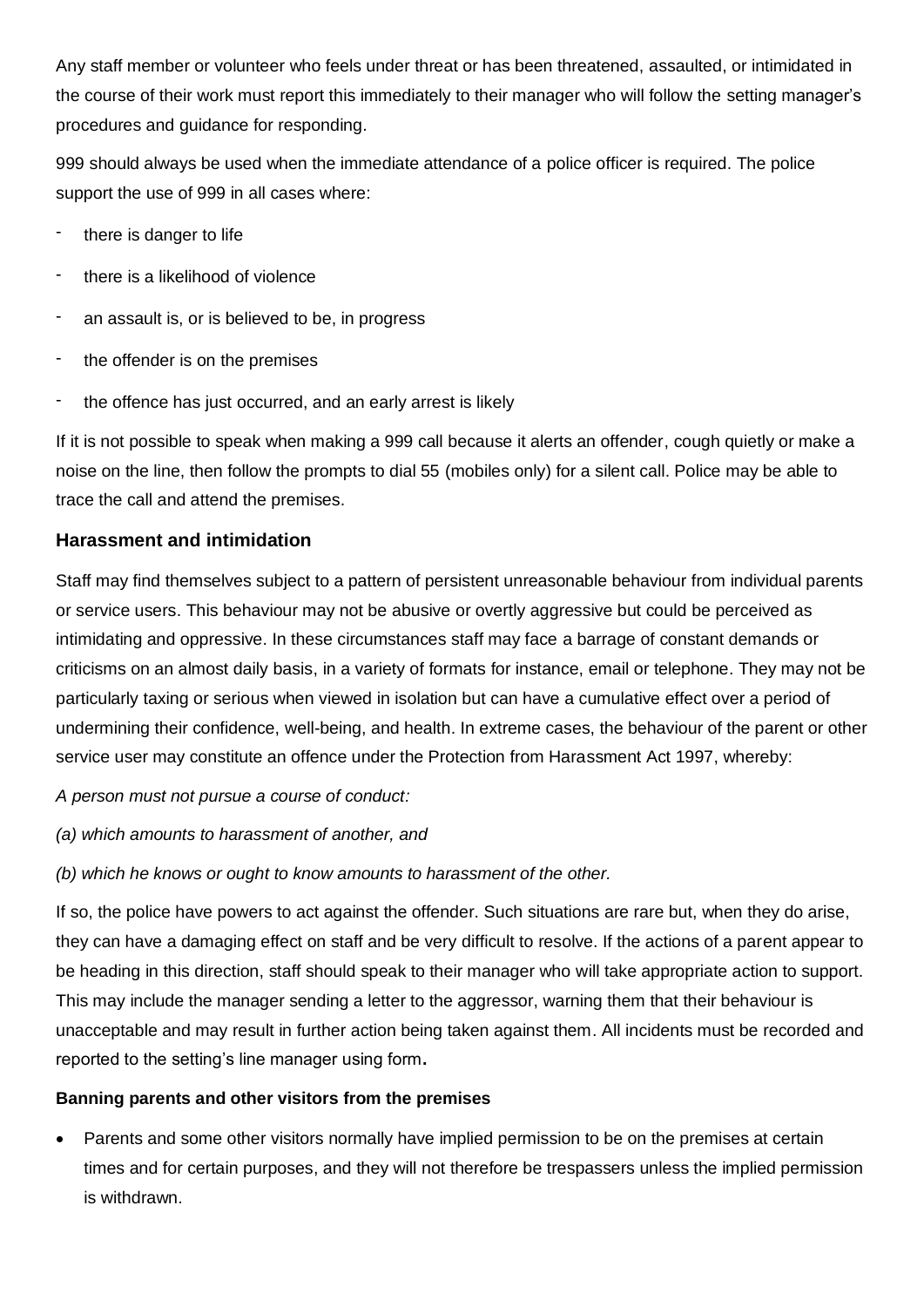Any staff member or volunteer who feels under threat or has been threatened, assaulted, or intimidated in the course of their work must report this immediately to their manager who will follow the setting manager's procedures and guidance for responding.

999 should always be used when the immediate attendance of a police officer is required. The police support the use of 999 in all cases where:

- there is danger to life
- there is a likelihood of violence
- an assault is, or is believed to be, in progress
- the offender is on the premises
- the offence has just occurred, and an early arrest is likely

If it is not possible to speak when making a 999 call because it alerts an offender, cough quietly or make a noise on the line, then follow the prompts to dial 55 (mobiles only) for a silent call. Police may be able to trace the call and attend the premises.

### **Harassment and intimidation**

Staff may find themselves subject to a pattern of persistent unreasonable behaviour from individual parents or service users. This behaviour may not be abusive or overtly aggressive but could be perceived as intimidating and oppressive. In these circumstances staff may face a barrage of constant demands or criticisms on an almost daily basis, in a variety of formats for instance, email or telephone. They may not be particularly taxing or serious when viewed in isolation but can have a cumulative effect over a period of undermining their confidence, well-being, and health. In extreme cases, the behaviour of the parent or other service user may constitute an offence under the Protection from Harassment Act 1997, whereby:

*A person must not pursue a course of conduct:*

*(a) which amounts to harassment of another, and*

*(b) which he knows or ought to know amounts to harassment of the other.*

If so, the police have powers to act against the offender. Such situations are rare but, when they do arise, they can have a damaging effect on staff and be very difficult to resolve. If the actions of a parent appear to be heading in this direction, staff should speak to their manager who will take appropriate action to support. This may include the manager sending a letter to the aggressor, warning them that their behaviour is unacceptable and may result in further action being taken against them. All incidents must be recorded and reported to the setting's line manager using form**.**

#### **Banning parents and other visitors from the premises**

Parents and some other visitors normally have implied permission to be on the premises at certain times and for certain purposes, and they will not therefore be trespassers unless the implied permission is withdrawn.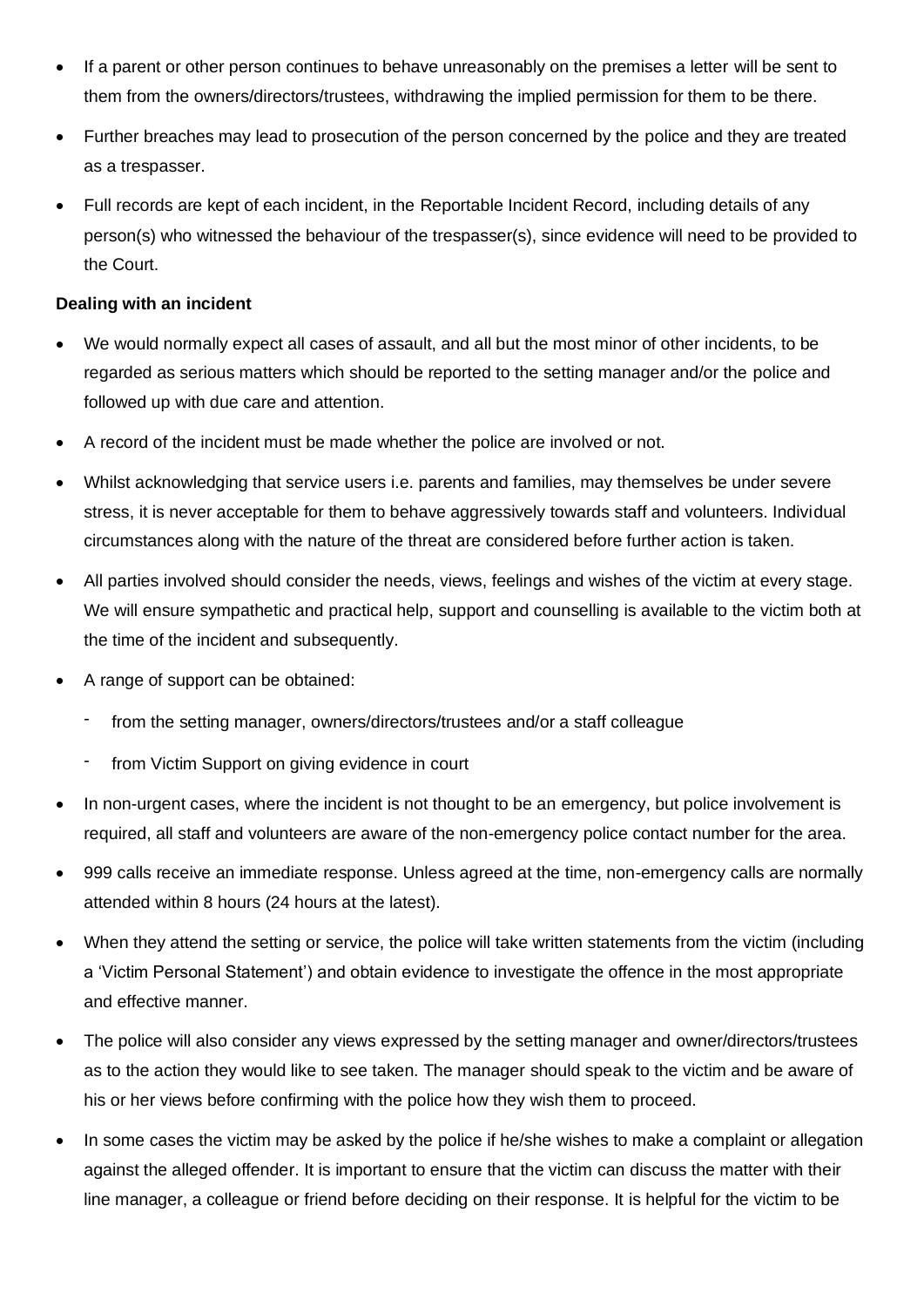- If a parent or other person continues to behave unreasonably on the premises a letter will be sent to them from the owners/directors/trustees, withdrawing the implied permission for them to be there.
- Further breaches may lead to prosecution of the person concerned by the police and they are treated as a trespasser.
- Full records are kept of each incident, in the Reportable Incident Record, including details of any person(s) who witnessed the behaviour of the trespasser(s), since evidence will need to be provided to the Court.

#### **Dealing with an incident**

- We would normally expect all cases of assault, and all but the most minor of other incidents, to be regarded as serious matters which should be reported to the setting manager and/or the police and followed up with due care and attention.
- A record of the incident must be made whether the police are involved or not.
- Whilst acknowledging that service users i.e. parents and families, may themselves be under severe stress, it is never acceptable for them to behave aggressively towards staff and volunteers. Individual circumstances along with the nature of the threat are considered before further action is taken.
- All parties involved should consider the needs, views, feelings and wishes of the victim at every stage. We will ensure sympathetic and practical help, support and counselling is available to the victim both at the time of the incident and subsequently.
- A range of support can be obtained:
	- from the setting manager, owners/directors/trustees and/or a staff colleague
	- from Victim Support on giving evidence in court
- In non-urgent cases, where the incident is not thought to be an emergency, but police involvement is required, all staff and volunteers are aware of the non-emergency police contact number for the area.
- 999 calls receive an immediate response. Unless agreed at the time, non-emergency calls are normally attended within 8 hours (24 hours at the latest).
- When they attend the setting or service, the police will take written statements from the victim (including a 'Victim Personal Statement') and obtain evidence to investigate the offence in the most appropriate and effective manner.
- The police will also consider any views expressed by the setting manager and owner/directors/trustees as to the action they would like to see taken. The manager should speak to the victim and be aware of his or her views before confirming with the police how they wish them to proceed.
- In some cases the victim may be asked by the police if he/she wishes to make a complaint or allegation against the alleged offender. It is important to ensure that the victim can discuss the matter with their line manager, a colleague or friend before deciding on their response. It is helpful for the victim to be